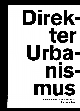

Barbara Holub / Paul Rajakovics transparadiso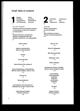## **Inhalt Table of contents**

1 Urbane Praktiken, Interventionen und Werkzeuge

Urban practices, interventions, and tools

 $\rightarrow 6$ 

Paul O'Neili / Mick Wilson

Situational fictions and tactical ruptures: a conversation on the direct urbanism of transparadiso

 $\rightarrow$  8

Situative Fiktionen und taktische Brüche: ein Gespräch über den direkten Urbanismus von transparadiso  $\rightarrow 20$ 

> Deseo urbano  $\rightarrow$  32

Agentur paratransdiso [Agency paratransdisol  $\rightarrow$  42

> Perable  $\rightarrow$  48

access.all.areas.  $\rightarrow$  50

Seine Evidenz [His evidencel  $\rightarrow$  56

Wunschfreistellung\_schlüsselfertig [Wishes made available\_ready to use]  $\rightarrow 64$ 

Uitzicht op!

 $\rightarrow 70$ 

Spremembazione  $\rightarrow$  78

Jemandsland / Terra di qualcuno/ Vsakogaršnja zemlja / Anyone's land  $\rightarrow 84$ 

> Unternehmen Paradies Paradise Enterprise  $\rightarrow 88$



Architektur und Urbanismus Architecture and urbanism

Jane RendelI Writing transparadiso: across and beside

 $\rightarrow$  96 Quer hindurch und daran entlang: writing transparadiso

 $\rightarrow 108$ 

Sites as Set  $\rightarrow 120$ 

Villach St. Magdalen  $\rightarrow$  124

Max-Reinhardt-Platz  $\rightarrow$  128

Stadtwerk Lehen  $\rightarrow$  134

**HTBLA** Hallstatt  $\rightarrow$  146

Schülerheim Schloss Tandalier [School hostel Tandalier Castiel  $\rightarrow$  148

> Lichtventilator, Resonanzboden, Vogerlbad [Light fan, sound board, birdbathl  $\rightarrow$  152

> > Parapölt  $\rightarrow$  155

Galerie Fotohof [Fotohof Galleryl  $\rightarrow$  156